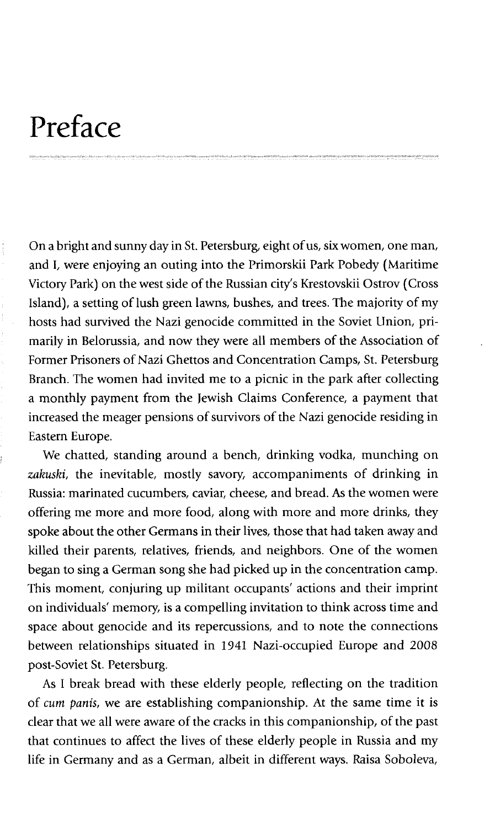# **Preface**

On a bright and sunny day in St. Petersburg, eight of us, six women, one man, and I, were enjoying an outing into the Primorskii Park Pobedy (Maritime Victory Park) on the west side of the Russian city's Krestovskii Ostrov (Cross Island), a setting of lush green lawns, bushes, and trees. The majority of my hosts had survived the Nazi genocide committed in the Soviet Union, primarily in Belorussia, and now they were all members of the Association of Former Prisoners of Nazi Ghettos and Concentration Camps, St. Petersburg Branch. The women had invited me to a picnic in the park after collecting a monthly payment from the Jewish Claims Conference, a payment that increased the meager pensions of survivors of the Nazi genocide residing in Eastern Europe.

We chatted, standing around a bench, drinking vodka, munching on zakuski, the inevitable, mostly savory, accompaniments of drinking in Russia: marinated cucumbers, caviar, cheese, and bread. As the women were offering me more and more food, along with more and more drinks, they spoke about the other Germans in their lives, those that had taken away and killed their parents, relatives, friends, and neighbors. One of the women began to sing a German song she had picked up in the concentration camp. This moment, conjuring up militant occupants' actions and their imprint on individuals' memory, is a compelling invitation to think across time and space about genocide and its repercussions, and to note the connections between relationships situated in 1941 Nazi-occupied Europe and 2008 post-Soviet St. Petersburg.

As I break bread with these elderly people, reflecting on the tradition of *cum panis,* we are establishing companionship. At the same time it is clear that we all were aware of the cracks in this companionship, of the past that continues to affect the lives of these elderly people in Russia and my life in Germany and as a German, albeit in different ways. Raisa Soboleva,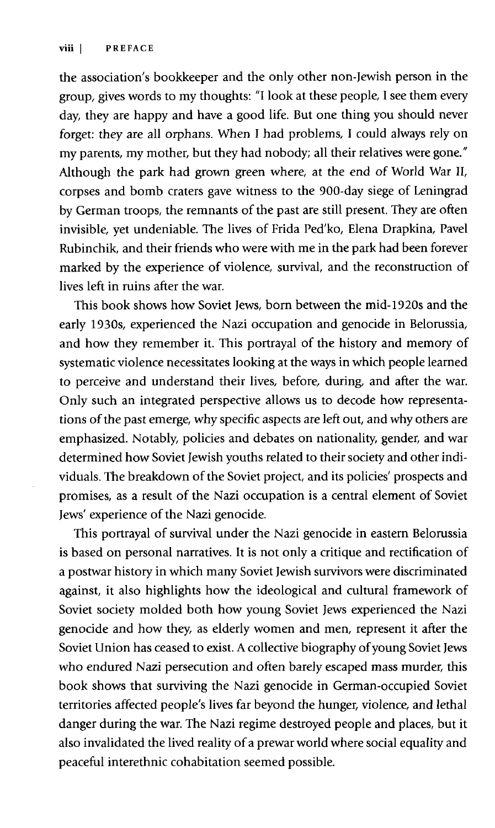the association's bookkeeper and the only other non-Jewish person in the group, gives words to my thoughts: "I look at these people, I see them every day, they are happy and have a good life. But one thing you should never forget: they are all orphans. When I had problems, I could always rely on my parents, my mother, but they had nobody; all their relatives were gone." Although the park had grown green where, at the end of World War II, corpses and bomb craters gave witness to the 900-day siege of Leningrad by German troops, the remnants of the past are still present. They are often invisible, yet undeniable. The lives of Frida Ped'ko, Elena Drapkina, Pavel Rubinchik, and their friends who were with me in the park had been forever marked by the experience of violence, survival, and the reconstruction of lives left in ruins after the war.

This book shows how Soviet Jews, born between the mid-1920s and the early 1930s, experienced the Nazi occupation and genocide in Belorussia, and how they remember it. This portrayal of the history and memory of systematic violence necessitates looking at the ways in which people learned to perceive and understand their lives, before, during, and after the war. Only such an integrated perspective allows us to decode how representations of the past emerge, why specific aspects are left out, and why others are emphasized. Notably, policies and debates on nationality, gender, and war determined how Soviet Jewish youths related to their society and other individuals. The breakdown of the Soviet project, and its policies' prospects and promises, as a result of the Nazi occupation is a central element of Soviet Jews' experience of the Nazi genocide.

This portrayal of survival under the Nazi genocide in eastern Belorussia is based on personal narratives. It is not only a critique and rectification of a postwar history in which many Soviet Jewish survivors were discriminated against, it also highlights how the ideological and cultural framework of Soviet society molded both how young Soviet Jews experienced the Nazi genocide and how they, as elderly women and men, represent it after the Soviet Union has ceased to exist. A collective biography of young Soviet Jews who endured Nazi persecution and often barely escaped mass murder, this book shows that surviving the Nazi genocide in German-occupied Soviet territories affected people's lives far beyond the hunger, violence, and lethal danger during the war. The Nazi regime destroyed people and places, but it also invalidated the lived reality of a prewar world where social equality and peaceful interethnic cohabitation seemed possible.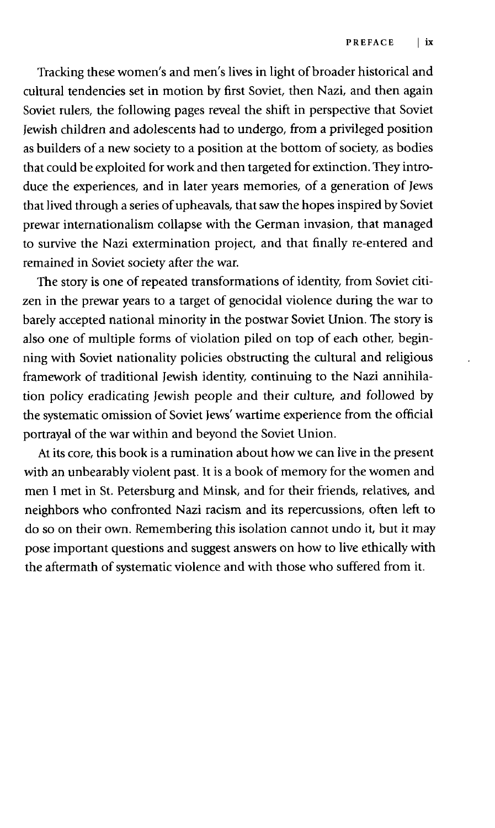Tracking these women's and men's lives in light of broader historical and cultural tendencies set in motion by first Soviet, then Nazi, and then again Soviet rulers, the following pages reveal the shift in perspective that Soviet Jewish children and adolescents had to undergo, from a privileged position as builders of a new society to a position at the bottom of society, as bodies that could be exploited for work and then targeted for extinction. They introduce the experiences, and in later years memories, of a generation of Jews that lived through a series of upheavals, that saw the hopes inspired by Soviet prewar internationalism collapse with the German invasion, that managed to survive the Nazi extermination project, and that finally re-entered and remained in Soviet society after the war.

The story is one of repeated transformations of identity, from Soviet citizen in the prewar years to a target of genocidal violence during the war to barely accepted national minority in the postwar Soviet Union. The story is also one of multiple forms of violation piled on top of each other, beginning with Soviet nationality policies obstructing the cultural and religious framework of traditional Jewish identity, continuing to the Nazi annihilation policy eradicating Jewish people and their culture, and followed by the systematic omission of Soviet Jews' wartime experience from the official portrayal of the war within and beyond the Soviet Union.

At its core, this book is a rumination about how we can live in the present with an unbearably violent past. It is a book of memory for the women and men I met in St. Petersburg and Minsk, and for their friends, relatives, and neighbors who confronted Nazi racism and its repercussions, often left to do so on their own. Remembering this isolation cannot undo it, but it may pose important questions and suggest answers on how to live ethically with the aftermath of systematic violence and with those who suffered from it.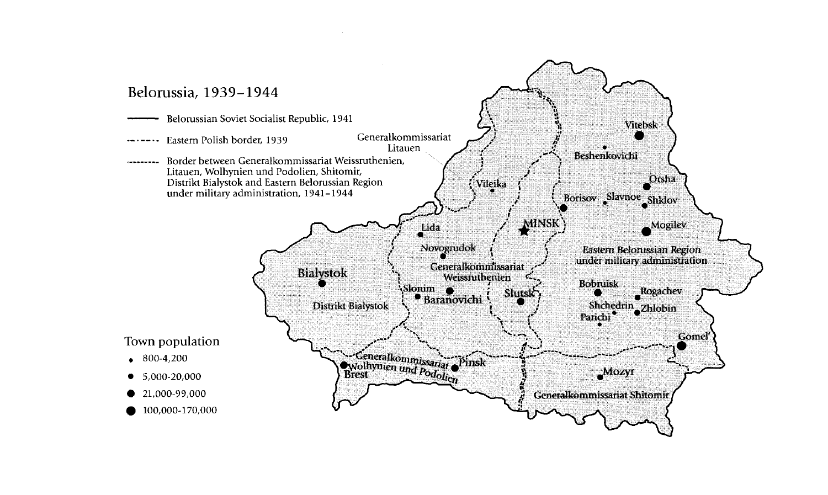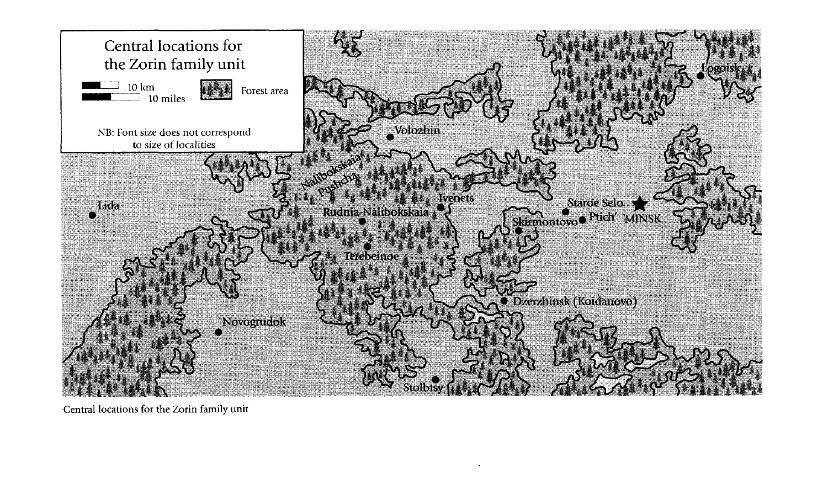

Central locations for the Zorin family unit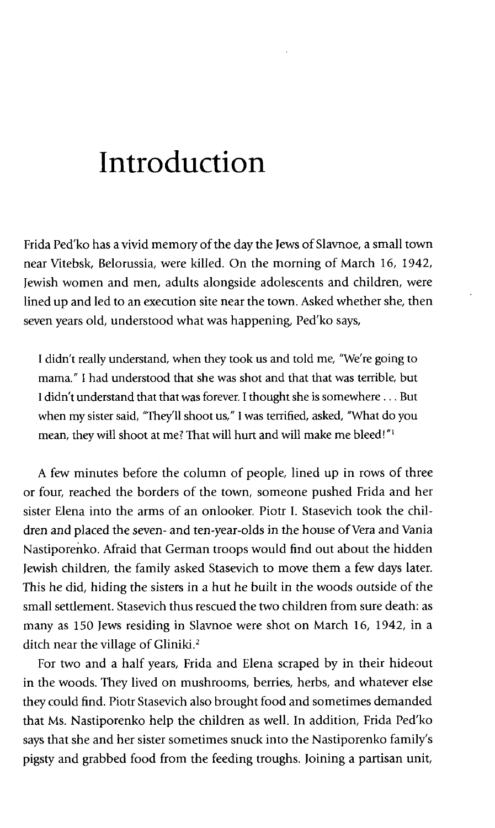## **Introduction**

Frida Ped'ko has a vivid memory of the day the Jews of Slavnoe, a small town near Vitebsk, Belorussia, were killed. On the morning of March 16, 1942, Jewish women and men, adults alongside adolescents and children, were lined up and led to an execution site near the town. Asked whether she, then seven years old, understood what was happening, Ped'ko says,

I didn't really understand, when they took us and told me, "We're going to mama." I had understood that she was shot and that that was terrible, but I didn't understand that that was forever. I thought she is somewhere ... But when my sister said, "They'll shoot us," I was terrified, asked, "What do you mean, they will shoot at me? That will hurt and will make me bleed!"<sup>1</sup>

A few minutes before the column of people, lined up in rows of three or four, reached the borders of the town, someone pushed Frida and her sister Elena into the arms of an onlooker. Piotr I. Stasevich took the children and placed the seven- and ten-year-olds in the house of Vera and Vania Nastiporenko. Afraid that German troops would find out about the hidden Jewish children, the family asked Stasevich to move them a few days later. This he did, hiding the sisters in a hut he built in the woods outside of the small settlement. Stasevich thus rescued the two children from sure death: as many as 150 Jews residing in Slavnoe were shot on March 16, 1942, in a ditch near the village of Gliniki.<sup>2</sup>

For two and a half years, Frida and Elena scraped by in their hideout in the woods. They lived on mushrooms, berries, herbs, and whatever else they could find. Piotr Stasevich also brought food and sometimes demanded that Ms. Nastiporenko help the children as well. In addition, Frida Ped'ko says that she and her sister sometimes snuck into the Nastiporenko family's pigsty and grabbed food from the feeding troughs. Joining a partisan unit,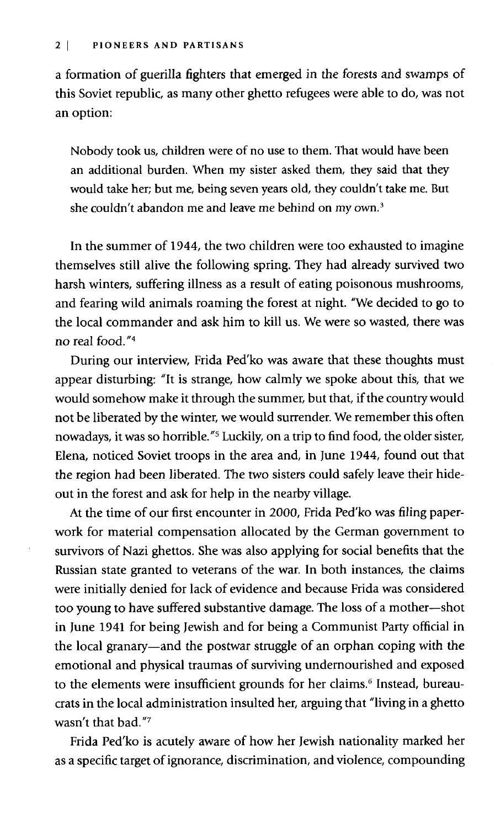a formation of guerilla fighters that emerged in the forests and swamps of this Soviet republic, as many other ghetto refugees were able to do, was not an option:

Nobody took us, children were of no use to them. That would have been an additional burden. When my sister asked them, they said that they would take her; but me, being seven years old, they couldn't take me. But she couldn't abandon me and leave me behind on my own.<sup>3</sup>

In the summer of 1944, the two children were too exhausted to imagine themselves still alive the following spring. They had already survived two harsh winters, suffering illness as a result of eating poisonous mushrooms, and fearing wild animals roaming the forest at night. "We decided to go to the local commander and ask him to kill us. We were so wasted, there was no real food."4

During our interview, Frida Ped'ko was aware that these thoughts must appear disturbing: "It is strange, how calmly we spoke about this, that we would somehow make it through the summer, but that, if the country would not be liberated by the winter, we would surrender. We remember this often nowadays, it was so horrible."5 Luckily, on a trip to find food, the older sister, Elena, noticed Soviet troops in the area and, in June 1944, found out that the region had been liberated. The two sisters could safely leave their hideout in the forest and ask for help in the nearby village.

At the time of our first encounter in 2000, Frida Ped'ko was filing paperwork for material compensation allocated by the German government to survivors of Nazi ghettos. She was also applying for social benefits that the Russian state granted to veterans of the war. In both instances, the claims were initially denied for lack of evidence and because Frida was considered too young to have suffered substantive damage. The loss of a mother—shot in June 1941 for being Jewish and for being a Communist Party official in the local granary—and the postwar struggle of an orphan coping with the emotional and physical traumas of surviving undernourished and exposed to the elements were insufficient grounds for her claims.<sup>6</sup> Instead, bureaucrats in the local administration insulted her, arguing that "living in a ghetto wasn't that bad."7

Frida Ped'ko is acutely aware of how her Jewish nationality marked her as a specific target of ignorance, discrimination, and violence, compounding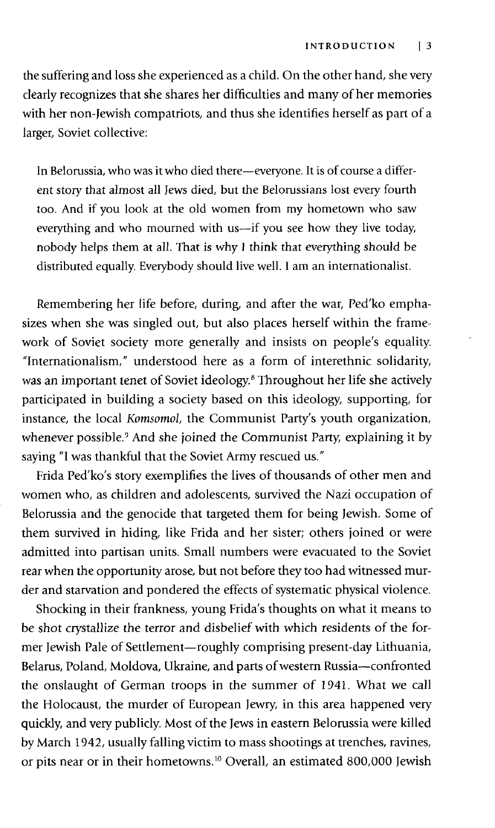the suffering and loss she experienced as a child. On the other hand, she very clearly recognizes that she shares her difficulties and many of her memories with her non-Jewish compatriots, and thus she identifies herself as part of a larger, Soviet collective:

In Belorussia, who was it who died there—everyone. It is of course a different story that almost all Jews died, but the Belorussians lost every fourth too. And if you look at the old women from my hometown who saw everything and who mourned with us—if you see how they live today, nobody helps them at all. That is why I think that everything should be distributed equally. Everybody should live well. I am an internationalist.

Remembering her life before, during, and after the war, Ped'ko emphasizes when she was singled out, but also places herself within the framework of Soviet society more generally and insists on people's equality. "Internationalism," understood here as a form of interethnic solidarity, was an important tenet of Soviet ideology.<sup>8</sup> Throughout her life she actively participated in building a society based on this ideology, supporting, for instance, the local *Komsomol,* the Communist Party's youth organization, whenever possible.<sup>9</sup> And she joined the Communist Party, explaining it by saying "I was thankful that the Soviet Army rescued us."

Frida Ped'ko's story exemplifies the lives of thousands of other men and women who, as children and adolescents, survived the Nazi occupation of Belorussia and the genocide that targeted them for being Jewish. Some of them survived in hiding, like Frida and her sister; others joined or were admitted into partisan units. Small numbers were evacuated to the Soviet rear when the opportunity arose, but not before they too had witnessed murder and starvation and pondered the effects of systematic physical violence.

Shocking in their frankness, young Frida's thoughts on what it means to be shot crystallize the terror and disbelief with which residents of the former Jewish Pale of Settlement—roughly comprising present-day Lithuania, Belams, Poland, Moldova, Ukraine, and parts of western Russia—confronted the onslaught of German troops in the summer of 1941. What we call the Holocaust, the murder of European Jewry, in this area happened very quickly, and very publicly. Most of the Jews in eastern Belorussia were killed by March 1942, usually falling victim to mass shootings at trenches, ravines, or pits near or in their hometowns.<sup>10</sup> Overall, an estimated 800,000 Jewish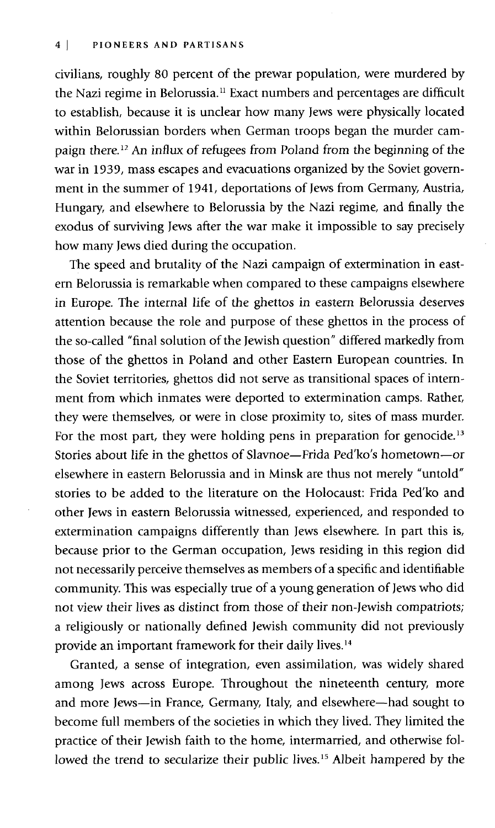civilians, roughly 80 percent of the prewar population, were murdered by the Nazi regime in Belorussia.<sup>11</sup> Exact numbers and percentages are difficult to establish, because it is unclear how many Jews were physically located within Belorussian borders when German troops began the murder campaign there.<sup>12</sup> An influx of refugees from Poland from the beginning of the war in 1939, mass escapes and evacuations organized by the Soviet government in the summer of 1941, deportations of Jews from Germany, Austria, Hungary, and elsewhere to Belorussia by the Nazi regime, and finally the exodus of surviving Jews after the war make it impossible to say precisely how many Jews died during the occupation.

The speed and brutality of the Nazi campaign of extermination in eastern Belorussia is remarkable when compared to these campaigns elsewhere in Europe. The internal life of the ghettos in eastern Belorussia deserves attention because the role and purpose of these ghettos in the process of the so-called "final solution of the Jewish question" differed markedly from those of the ghettos in Poland and other Eastern European countries. In the Soviet territories, ghettos did not serve as transitional spaces of internment from which inmates were deported to extermination camps. Rather, they were themselves, or were in close proximity to, sites of mass murder. For the most part, they were holding pens in preparation for genocide.<sup>13</sup> Stories about life in the ghettos of Slavnoe-Frida Ped'ko's hometown-or elsewhere in eastern Belorussia and in Minsk are thus not merely "untold" stories to be added to the literature on the Holocaust: Frida Ped'ko and other Jews in eastern Belorussia witnessed, experienced, and responded to extermination campaigns differently than Jews elsewhere. In part this is, because prior to the German occupation, Jews residing in this region did not necessarily perceive themselves as members of a specific and identifiable community. This was especially true of a young generation of Jews who did not view their lives as distinct from those of their non-Jewish compatriots; a religiously or nationally defined Jewish community did not previously provide an important framework for their daily lives.14

Granted, a sense of integration, even assimilation, was widely shared among Jews across Europe. Throughout the nineteenth century, more and more Jews—in France, Germany, Italy, and elsewhere—had sought to become full members of the societies in which they lived. They limited the practice of their Jewish faith to the home, intermarried, and otherwise followed the trend to secularize their public lives.<sup>15</sup> Albeit hampered by the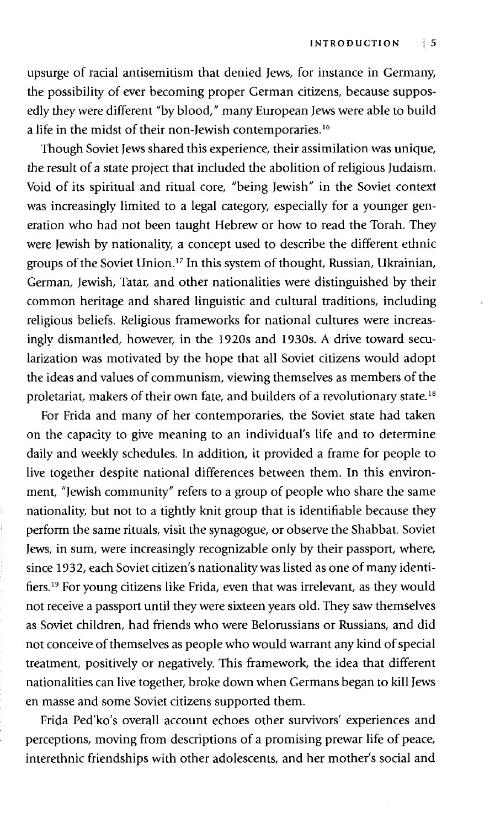upsurge of racial antisemitism that denied Jews, for instance in Germany, the possibility of ever becoming proper German citizens, because supposedly they were different "by blood," many European Jews were able to build a life in the midst of their non-Jewish contemporaries.<sup>16</sup>

Though Soviet Jews shared this experience, their assimilation was unique, the result of a state project that included the abolition of religious Judaism. Void of its spiritual and ritual core, "being Jewish" in the Soviet context was increasingly limited to a legal category, especially for a younger generation who had not been taught Hebrew or how to read the Torah. They were Jewish by nationality, a concept used to describe the different ethnic groups of the Soviet Union.<sup>17</sup> In this system of thought, Russian, Ukrainian, German, Jewish, Tatar, and other nationalities were distinguished by their common heritage and shared linguistic and cultural traditions, including religious beliefs. Religious frameworks for national cultures were increasingly dismantled, however, in the 1920s and 1930s. A drive toward secularization was motivated by the hope that all Soviet citizens would adopt the ideas and values of communism, viewing themselves as members of the proletariat, makers of their own fate, and builders of a revolutionary state.<sup>18</sup>

For Frida and many of her contemporaries, the Soviet state had taken on the capacity to give meaning to an individual's life and to determine daily and weekly schedules. In addition, it provided a frame for people to live together despite national differences between them. In this environment, "Jewish community" refers to a group of people who share the same nationality, but not to a tightly knit group that is identifiable because they perform the same rituals, visit the synagogue, or observe the Shabbat. Soviet Jews, in sum, were increasingly recognizable only by their passport, where, since 1932, each Soviet citizen's nationality was listed as one of many identifiers.<sup>19</sup> For young citizens like Frida, even that was irrelevant, as they would not receive a passport until they were sixteen years old. They saw themselves as Soviet children, had friends who were Belorussians or Russians, and did not conceive of themselves as people who would warrant any kind of special treatment, positively or negatively. This framework, the idea that different nationalities can live together, broke down when Germans began to kill Jews en masse and some Soviet citizens supported them.

Frida Ped'ko's overall account echoes other survivors' experiences and perceptions, moving from descriptions of a promising prewar life of peace, interethnic friendships with other adolescents, and her mother's social and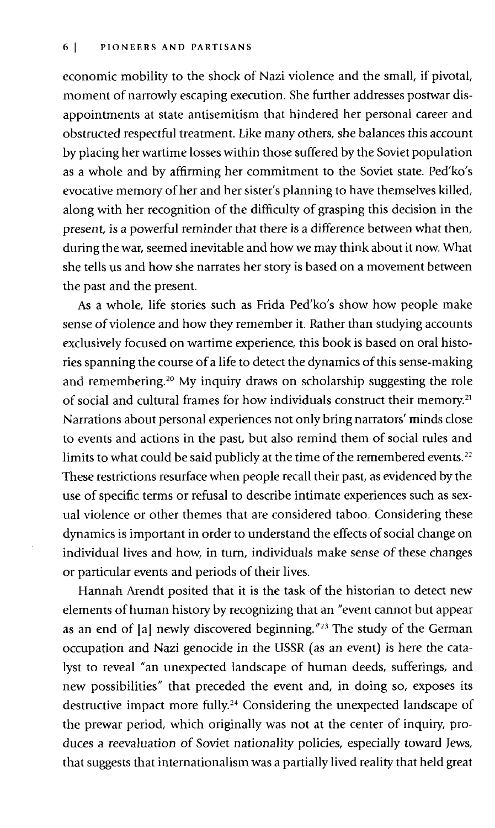economic mobility to the shock of Nazi violence and the small, if pivotal, moment of narrowly escaping execution. She further addresses postwar disappointments at state antisemitism that hindered her personal career and obstructed respectful treatment. Like many others, she balances this account by placing her wartime losses within those suffered by the Soviet population as a whole and by affirming her commitment to the Soviet state. Ped'ko's evocative memory of her and her sister's planning to have themselves killed, along with her recognition of the difficulty of grasping this decision in the present, is a powerful reminder that there is a difference between what then, during the war, seemed inevitable and how we may think about it now. What she tells us and how she narrates her story is based on a movement between the past and the present.

As a whole, life stories such as Frida Ped'ko's show how people make sense of violence and how they remember it. Rather than studying accounts exclusively focused on wartime experience, this book is based on oral histories spanning the course of a life to detect the dynamics of this sense-making and remembering.<sup>20</sup> My inquiry draws on scholarship suggesting the role of social and cultural frames for how individuals construct their memory.<sup>21</sup> Narrations about personal experiences not only bring narrators' minds close to events and actions in the past, but also remind them of social rules and limits to what could be said publicly at the time of the remembered events.<sup>22</sup> These restrictions resurface when people recall their past, as evidenced by the use of specific terms or refusal to describe intimate experiences such as sexual violence or other themes that are considered taboo. Considering these dynamics is important in order to understand the effects of social change on individual lives and how, in turn, individuals make sense of these changes or particular events and periods of their lives.

Hannah Arendt posited that it is the task of the historian to detect new elements of human history by recognizing that an "event cannot but appear as an end of [a] newly discovered beginning."<sup>23</sup> The study of the German occupation and Nazi genocide in the USSR (as an event) is here the catalyst to reveal "an unexpected landscape of human deeds, sufferings, and new possibilities" that preceded the event and, in doing so, exposes its destructive impact more fully.<sup>24</sup> Considering the unexpected landscape of the prewar period, which originally was not at the center of inquiry, produces a reevaluation of Soviet nationality policies, especially toward Jews, that suggests that internationalism was a partially lived reality that held great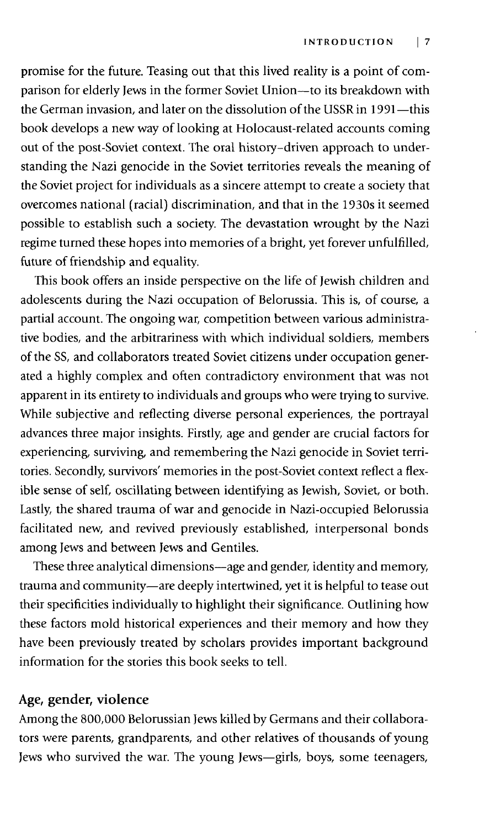promise for the future. Teasing out that this lived reality is a point of comparison for elderly Jews in the former Soviet Union—to its breakdown with the German invasion, and later on the dissolution of the USSR in 1991-this book develops a new way of looking at Holocaust-related accounts coming out of the post-Soviet context. The oral history-driven approach to understanding the Nazi genocide in the Soviet territories reveals the meaning of the Soviet project for individuals as a sincere attempt to create a society that overcomes national (racial) discrimination, and that in the 1930s it seemed possible to establish such a society. The devastation wrought by the Nazi regime turned these hopes into memories of a bright, yet forever unfulfilled, future of friendship and equality.

This book offers an inside perspective on the life of Jewish children and adolescents during the Nazi occupation of Belorussia. This is, of course, a partial account. The ongoing war, competition between various administrative bodies, and the arbitrariness with which individual soldiers, members of the SS, and collaborators treated Soviet citizens under occupation generated a highly complex and often contradictory environment that was not apparent in its entirety to individuals and groups who were trying to survive. While subjective and reflecting diverse personal experiences, the portrayal advances three major insights. Firstly, age and gender are crucial factors for experiencing, surviving, and remembering the Nazi genocide in Soviet territories. Secondly, survivors' memories in the post-Soviet context reflect a flexible sense of self, oscillating between identifying as Jewish, Soviet, or both. Lastly, the shared trauma of war and genocide in Nazi-occupied Belorussia facilitated new, and revived previously established, interpersonal bonds among Jews and between Jews and Gentiles.

These three analytical dimensions—age and gender, identity and memory, trauma and community—are deeply intertwined, yet it is helpful to tease out their specificities individually to highlight their significance. Outlining how these factors mold historical experiences and their memory and how they have been previously treated by scholars provides important background information for the stories this book seeks to tell.

### Age, gender, violence

Among the 800,000 Belorussian Jews killed by Germans and their collaborators were parents, grandparents, and other relatives of thousands of young Jews who survived the war. The young Jews—girls, boys, some teenagers,